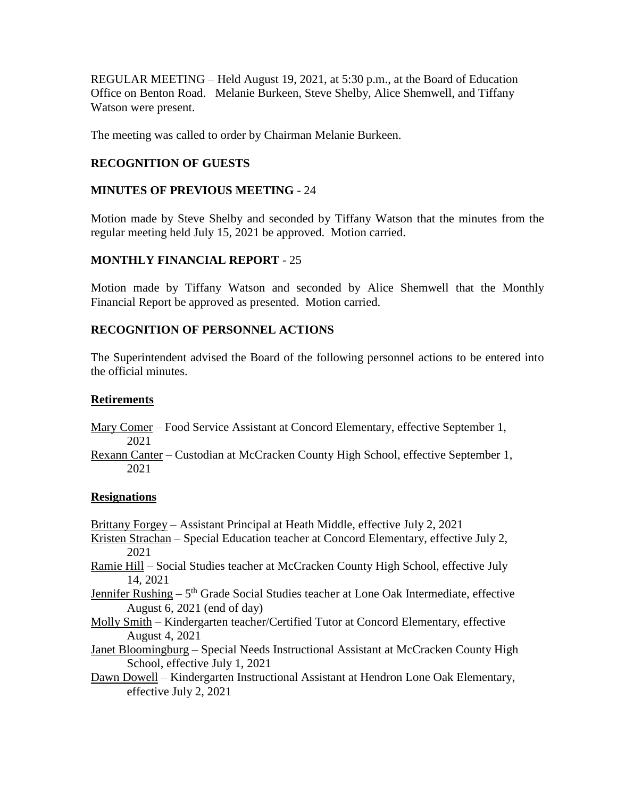REGULAR MEETING – Held August 19, 2021, at 5:30 p.m., at the Board of Education Office on Benton Road. Melanie Burkeen, Steve Shelby, Alice Shemwell, and Tiffany Watson were present.

The meeting was called to order by Chairman Melanie Burkeen.

# **RECOGNITION OF GUESTS**

## **MINUTES OF PREVIOUS MEETING** - 24

Motion made by Steve Shelby and seconded by Tiffany Watson that the minutes from the regular meeting held July 15, 2021 be approved. Motion carried.

# **MONTHLY FINANCIAL REPORT** - 25

Motion made by Tiffany Watson and seconded by Alice Shemwell that the Monthly Financial Report be approved as presented. Motion carried.

# **RECOGNITION OF PERSONNEL ACTIONS**

The Superintendent advised the Board of the following personnel actions to be entered into the official minutes.

## **Retirements**

- Mary Comer Food Service Assistant at Concord Elementary, effective September 1, 2021
- Rexann Canter Custodian at McCracken County High School, effective September 1, 2021

# **Resignations**

- Brittany Forgey Assistant Principal at Heath Middle, effective July 2, 2021
- Kristen Strachan Special Education teacher at Concord Elementary, effective July 2, 2021
- Ramie Hill Social Studies teacher at McCracken County High School, effective July 14, 2021
- Jennifer Rushing 5<sup>th</sup> Grade Social Studies teacher at Lone Oak Intermediate, effective August 6, 2021 (end of day)
- Molly Smith Kindergarten teacher/Certified Tutor at Concord Elementary, effective August 4, 2021

Janet Bloomingburg – Special Needs Instructional Assistant at McCracken County High School, effective July 1, 2021

Dawn Dowell – Kindergarten Instructional Assistant at Hendron Lone Oak Elementary, effective July 2, 2021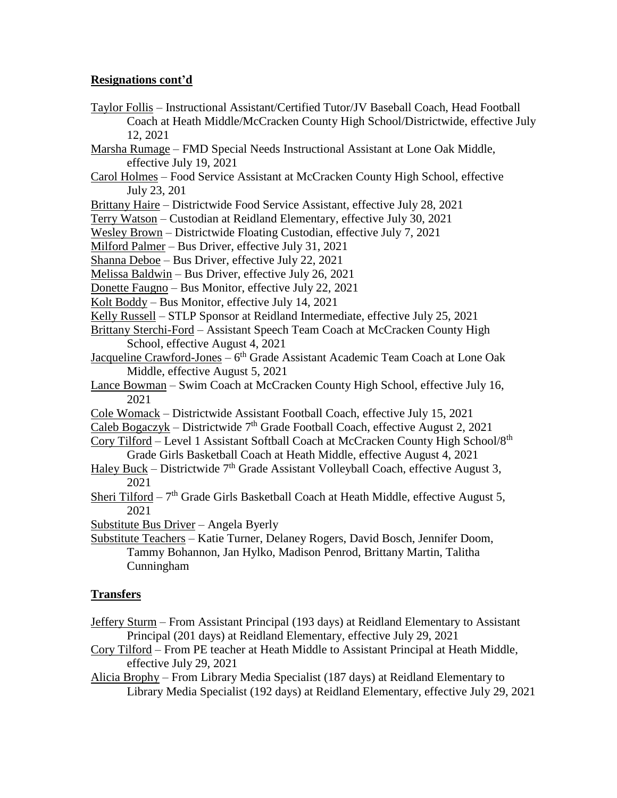## **Resignations cont'd**

- Taylor Follis Instructional Assistant/Certified Tutor/JV Baseball Coach, Head Football Coach at Heath Middle/McCracken County High School/Districtwide, effective July 12, 2021
- Marsha Rumage FMD Special Needs Instructional Assistant at Lone Oak Middle, effective July 19, 2021
- Carol Holmes Food Service Assistant at McCracken County High School, effective July 23, 201
- Brittany Haire Districtwide Food Service Assistant, effective July 28, 2021
- Terry Watson Custodian at Reidland Elementary, effective July 30, 2021
- Wesley Brown Districtwide Floating Custodian, effective July 7, 2021
- Milford Palmer Bus Driver, effective July 31, 2021
- Shanna Deboe Bus Driver, effective July 22, 2021
- Melissa Baldwin Bus Driver, effective July 26, 2021
- Donette Faugno Bus Monitor, effective July 22, 2021
- Kolt Boddy Bus Monitor, effective July 14, 2021
- Kelly Russell STLP Sponsor at Reidland Intermediate, effective July 25, 2021
- Brittany Sterchi-Ford Assistant Speech Team Coach at McCracken County High School, effective August 4, 2021
- Jacqueline Crawford-Jones 6<sup>th</sup> Grade Assistant Academic Team Coach at Lone Oak Middle, effective August 5, 2021
- Lance Bowman Swim Coach at McCracken County High School, effective July 16, 2021
- Cole Womack Districtwide Assistant Football Coach, effective July 15, 2021
- Caleb Bogaczyk Districtwide  $7<sup>th</sup>$  Grade Football Coach, effective August 2, 2021
- Cory Tilford Level 1 Assistant Softball Coach at McCracken County High School/8th Grade Girls Basketball Coach at Heath Middle, effective August 4, 2021
- Haley Buck Districtwide  $7<sup>th</sup>$  Grade Assistant Volleyball Coach, effective August 3, 2021
- Sheri Tilford  $7<sup>th</sup>$  Grade Girls Basketball Coach at Heath Middle, effective August 5, 2021
- Substitute Bus Driver Angela Byerly
- Substitute Teachers Katie Turner, Delaney Rogers, David Bosch, Jennifer Doom, Tammy Bohannon, Jan Hylko, Madison Penrod, Brittany Martin, Talitha Cunningham

### **Transfers**

- Jeffery Sturm From Assistant Principal (193 days) at Reidland Elementary to Assistant Principal (201 days) at Reidland Elementary, effective July 29, 2021
- Cory Tilford From PE teacher at Heath Middle to Assistant Principal at Heath Middle, effective July 29, 2021
- Alicia Brophy From Library Media Specialist (187 days) at Reidland Elementary to Library Media Specialist (192 days) at Reidland Elementary, effective July 29, 2021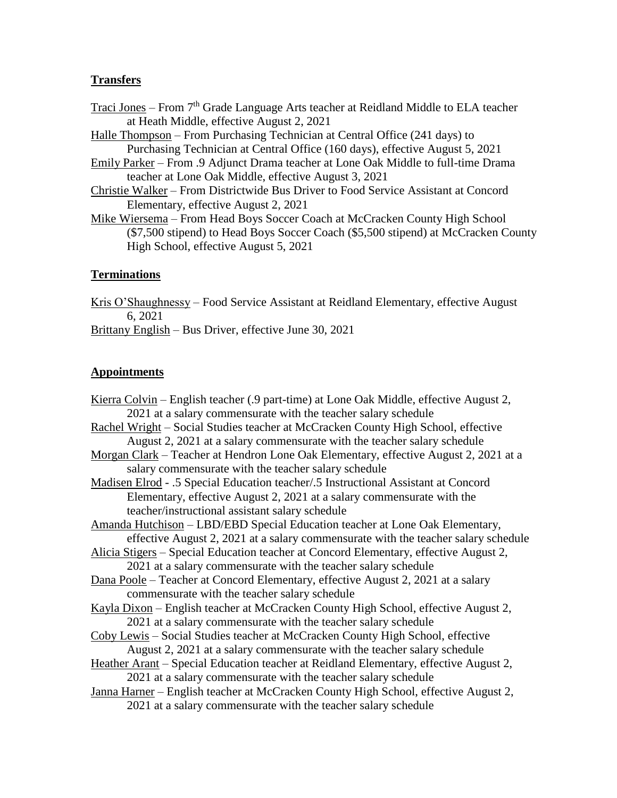### **Transfers**

- Traci Jones From 7<sup>th</sup> Grade Language Arts teacher at Reidland Middle to ELA teacher at Heath Middle, effective August 2, 2021
- Halle Thompson From Purchasing Technician at Central Office (241 days) to Purchasing Technician at Central Office (160 days), effective August 5, 2021
- Emily Parker From .9 Adjunct Drama teacher at Lone Oak Middle to full-time Drama teacher at Lone Oak Middle, effective August 3, 2021
- Christie Walker From Districtwide Bus Driver to Food Service Assistant at Concord Elementary, effective August 2, 2021
- Mike Wiersema From Head Boys Soccer Coach at McCracken County High School (\$7,500 stipend) to Head Boys Soccer Coach (\$5,500 stipend) at McCracken County High School, effective August 5, 2021

## **Terminations**

Kris O'Shaughnessy – Food Service Assistant at Reidland Elementary, effective August 6, 2021

Brittany English – Bus Driver, effective June 30, 2021

## **Appointments**

Kierra Colvin – English teacher (.9 part-time) at Lone Oak Middle, effective August 2, 2021 at a salary commensurate with the teacher salary schedule Rachel Wright – Social Studies teacher at McCracken County High School, effective August 2, 2021 at a salary commensurate with the teacher salary schedule Morgan Clark – Teacher at Hendron Lone Oak Elementary, effective August 2, 2021 at a salary commensurate with the teacher salary schedule Madisen Elrod - .5 Special Education teacher/.5 Instructional Assistant at Concord Elementary, effective August 2, 2021 at a salary commensurate with the teacher/instructional assistant salary schedule Amanda Hutchison – LBD/EBD Special Education teacher at Lone Oak Elementary, effective August 2, 2021 at a salary commensurate with the teacher salary schedule Alicia Stigers – Special Education teacher at Concord Elementary, effective August 2, 2021 at a salary commensurate with the teacher salary schedule Dana Poole – Teacher at Concord Elementary, effective August 2, 2021 at a salary commensurate with the teacher salary schedule Kayla Dixon – English teacher at McCracken County High School, effective August 2, 2021 at a salary commensurate with the teacher salary schedule Coby Lewis – Social Studies teacher at McCracken County High School, effective August 2, 2021 at a salary commensurate with the teacher salary schedule Heather Arant – Special Education teacher at Reidland Elementary, effective August 2, 2021 at a salary commensurate with the teacher salary schedule Janna Harner – English teacher at McCracken County High School, effective August 2, 2021 at a salary commensurate with the teacher salary schedule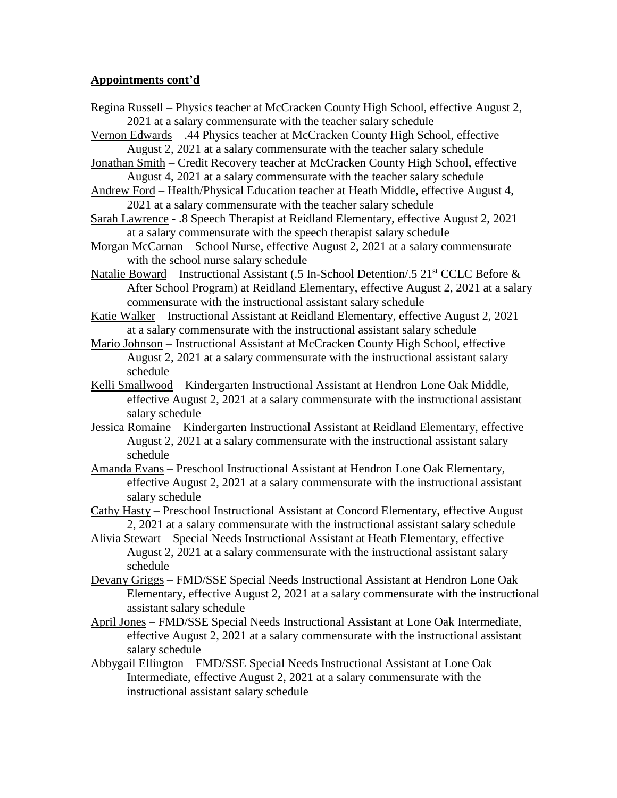- Regina Russell Physics teacher at McCracken County High School, effective August 2, 2021 at a salary commensurate with the teacher salary schedule
- Vernon Edwards .44 Physics teacher at McCracken County High School, effective August 2, 2021 at a salary commensurate with the teacher salary schedule
- Jonathan Smith Credit Recovery teacher at McCracken County High School, effective August 4, 2021 at a salary commensurate with the teacher salary schedule
- Andrew Ford Health/Physical Education teacher at Heath Middle, effective August 4, 2021 at a salary commensurate with the teacher salary schedule
- Sarah Lawrence .8 Speech Therapist at Reidland Elementary, effective August 2, 2021 at a salary commensurate with the speech therapist salary schedule
- Morgan McCarnan School Nurse, effective August 2, 2021 at a salary commensurate with the school nurse salary schedule
- Natalie Boward Instructional Assistant (.5 In-School Detention/.5 21<sup>st</sup> CCLC Before  $\&$ After School Program) at Reidland Elementary, effective August 2, 2021 at a salary commensurate with the instructional assistant salary schedule

Katie Walker – Instructional Assistant at Reidland Elementary, effective August 2, 2021 at a salary commensurate with the instructional assistant salary schedule

- Mario Johnson Instructional Assistant at McCracken County High School, effective August 2, 2021 at a salary commensurate with the instructional assistant salary schedule
- Kelli Smallwood Kindergarten Instructional Assistant at Hendron Lone Oak Middle, effective August 2, 2021 at a salary commensurate with the instructional assistant salary schedule
- Jessica Romaine Kindergarten Instructional Assistant at Reidland Elementary, effective August 2, 2021 at a salary commensurate with the instructional assistant salary schedule
- Amanda Evans Preschool Instructional Assistant at Hendron Lone Oak Elementary, effective August 2, 2021 at a salary commensurate with the instructional assistant salary schedule
- Cathy Hasty Preschool Instructional Assistant at Concord Elementary, effective August 2, 2021 at a salary commensurate with the instructional assistant salary schedule
- Alivia Stewart Special Needs Instructional Assistant at Heath Elementary, effective August 2, 2021 at a salary commensurate with the instructional assistant salary schedule
- Devany Griggs FMD/SSE Special Needs Instructional Assistant at Hendron Lone Oak Elementary, effective August 2, 2021 at a salary commensurate with the instructional assistant salary schedule
- April Jones FMD/SSE Special Needs Instructional Assistant at Lone Oak Intermediate, effective August 2, 2021 at a salary commensurate with the instructional assistant salary schedule
- Abbygail Ellington FMD/SSE Special Needs Instructional Assistant at Lone Oak Intermediate, effective August 2, 2021 at a salary commensurate with the instructional assistant salary schedule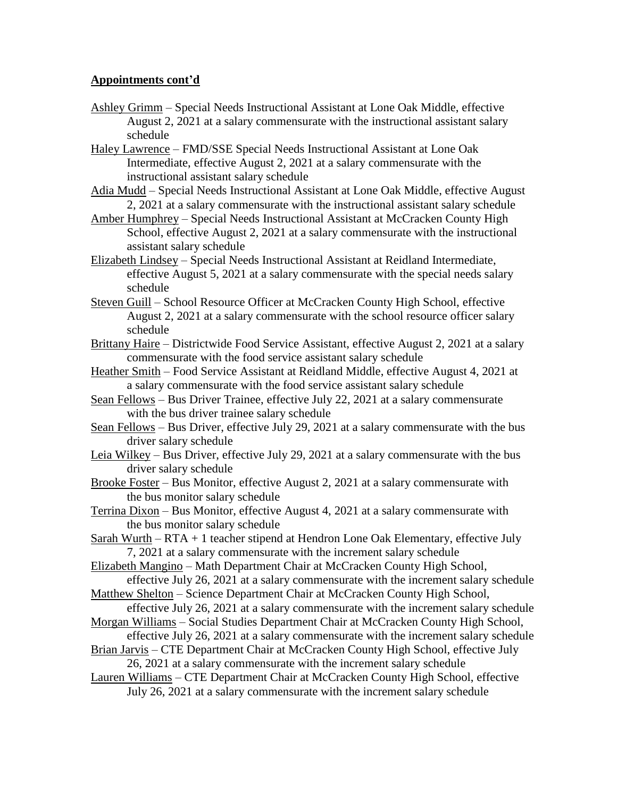- Ashley Grimm Special Needs Instructional Assistant at Lone Oak Middle, effective August 2, 2021 at a salary commensurate with the instructional assistant salary schedule
- Haley Lawrence FMD/SSE Special Needs Instructional Assistant at Lone Oak Intermediate, effective August 2, 2021 at a salary commensurate with the instructional assistant salary schedule
- Adia Mudd Special Needs Instructional Assistant at Lone Oak Middle, effective August 2, 2021 at a salary commensurate with the instructional assistant salary schedule
- Amber Humphrey Special Needs Instructional Assistant at McCracken County High School, effective August 2, 2021 at a salary commensurate with the instructional assistant salary schedule
- Elizabeth Lindsey Special Needs Instructional Assistant at Reidland Intermediate, effective August 5, 2021 at a salary commensurate with the special needs salary schedule
- Steven Guill School Resource Officer at McCracken County High School, effective August 2, 2021 at a salary commensurate with the school resource officer salary schedule
- Brittany Haire Districtwide Food Service Assistant, effective August 2, 2021 at a salary commensurate with the food service assistant salary schedule
- Heather Smith Food Service Assistant at Reidland Middle, effective August 4, 2021 at a salary commensurate with the food service assistant salary schedule
- Sean Fellows Bus Driver Trainee, effective July 22, 2021 at a salary commensurate with the bus driver trainee salary schedule
- Sean Fellows Bus Driver, effective July 29, 2021 at a salary commensurate with the bus driver salary schedule
- Leia Wilkey Bus Driver, effective July 29, 2021 at a salary commensurate with the bus driver salary schedule
- Brooke Foster Bus Monitor, effective August 2, 2021 at a salary commensurate with the bus monitor salary schedule
- Terrina Dixon Bus Monitor, effective August 4, 2021 at a salary commensurate with the bus monitor salary schedule
- Sarah Wurth RTA + 1 teacher stipend at Hendron Lone Oak Elementary, effective July 7, 2021 at a salary commensurate with the increment salary schedule

Elizabeth Mangino – Math Department Chair at McCracken County High School, effective July 26, 2021 at a salary commensurate with the increment salary schedule

Matthew Shelton – Science Department Chair at McCracken County High School, effective July 26, 2021 at a salary commensurate with the increment salary schedule

Morgan Williams – Social Studies Department Chair at McCracken County High School, effective July 26, 2021 at a salary commensurate with the increment salary schedule

Brian Jarvis – CTE Department Chair at McCracken County High School, effective July 26, 2021 at a salary commensurate with the increment salary schedule

Lauren Williams – CTE Department Chair at McCracken County High School, effective July 26, 2021 at a salary commensurate with the increment salary schedule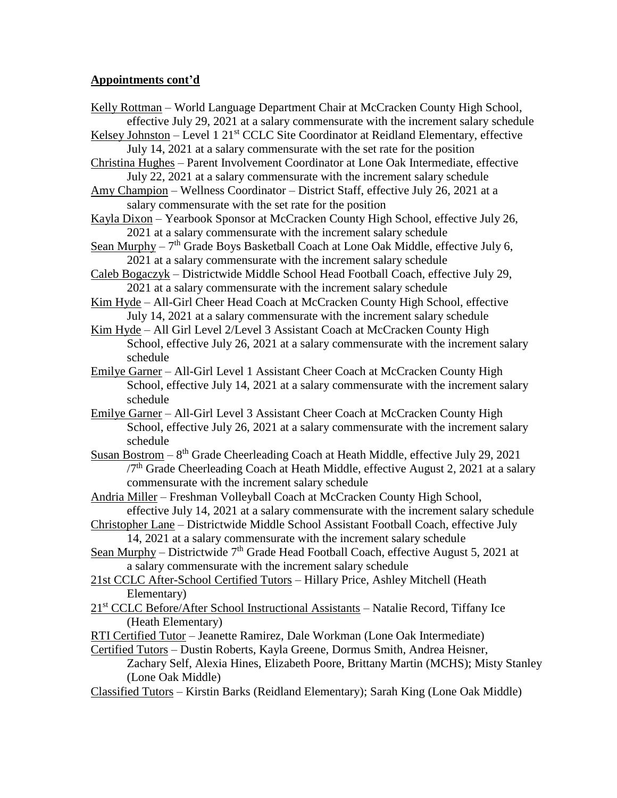- Kelly Rottman World Language Department Chair at McCracken County High School, effective July 29, 2021 at a salary commensurate with the increment salary schedule
- Kelsey Johnston Level 1 21<sup>st</sup> CCLC Site Coordinator at Reidland Elementary, effective July 14, 2021 at a salary commensurate with the set rate for the position
- Christina Hughes Parent Involvement Coordinator at Lone Oak Intermediate, effective July 22, 2021 at a salary commensurate with the increment salary schedule
- Amy Champion Wellness Coordinator District Staff, effective July 26, 2021 at a salary commensurate with the set rate for the position
- Kayla Dixon Yearbook Sponsor at McCracken County High School, effective July 26, 2021 at a salary commensurate with the increment salary schedule
- Sean Murphy 7<sup>th</sup> Grade Boys Basketball Coach at Lone Oak Middle, effective July 6, 2021 at a salary commensurate with the increment salary schedule
- Caleb Bogaczyk Districtwide Middle School Head Football Coach, effective July 29, 2021 at a salary commensurate with the increment salary schedule
- Kim Hyde All-Girl Cheer Head Coach at McCracken County High School, effective July 14, 2021 at a salary commensurate with the increment salary schedule
- Kim Hyde All Girl Level 2/Level 3 Assistant Coach at McCracken County High School, effective July 26, 2021 at a salary commensurate with the increment salary schedule
- Emilye Garner All-Girl Level 1 Assistant Cheer Coach at McCracken County High School, effective July 14, 2021 at a salary commensurate with the increment salary schedule
- Emilye Garner All-Girl Level 3 Assistant Cheer Coach at McCracken County High School, effective July 26, 2021 at a salary commensurate with the increment salary schedule
- Susan Bostrom  $-8$ <sup>th</sup> Grade Cheerleading Coach at Heath Middle, effective July 29, 2021 /7th Grade Cheerleading Coach at Heath Middle, effective August 2, 2021 at a salary commensurate with the increment salary schedule
- Andria Miller Freshman Volleyball Coach at McCracken County High School, effective July 14, 2021 at a salary commensurate with the increment salary schedule
- Christopher Lane Districtwide Middle School Assistant Football Coach, effective July 14, 2021 at a salary commensurate with the increment salary schedule
- Sean Murphy Districtwide  $7<sup>th</sup>$  Grade Head Football Coach, effective August 5, 2021 at a salary commensurate with the increment salary schedule
- 21st CCLC After-School Certified Tutors Hillary Price, Ashley Mitchell (Heath Elementary)
- 21st CCLC Before/After School Instructional Assistants Natalie Record, Tiffany Ice (Heath Elementary)
- RTI Certified Tutor Jeanette Ramirez, Dale Workman (Lone Oak Intermediate)
- Certified Tutors Dustin Roberts, Kayla Greene, Dormus Smith, Andrea Heisner, Zachary Self, Alexia Hines, Elizabeth Poore, Brittany Martin (MCHS); Misty Stanley

```
(Lone Oak Middle)
```
Classified Tutors – Kirstin Barks (Reidland Elementary); Sarah King (Lone Oak Middle)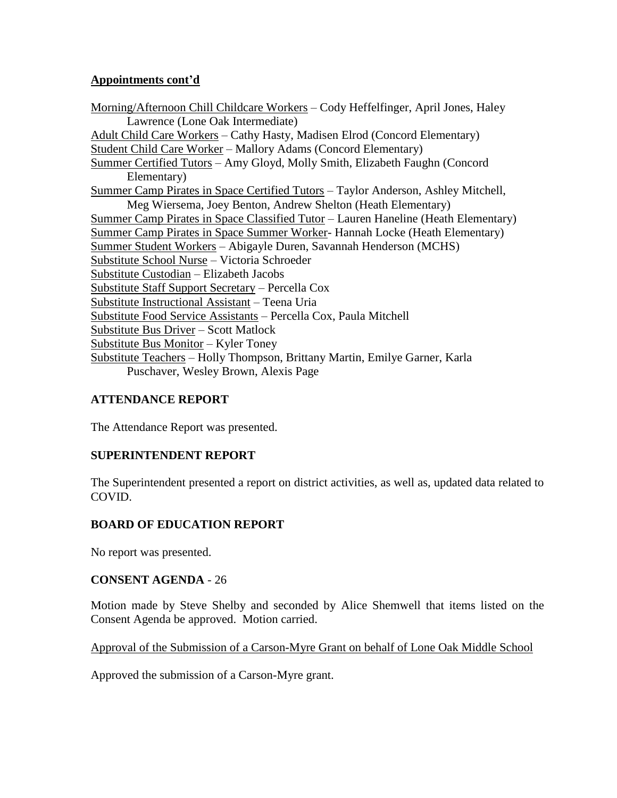Morning/Afternoon Chill Childcare Workers – Cody Heffelfinger, April Jones, Haley Lawrence (Lone Oak Intermediate) Adult Child Care Workers – Cathy Hasty, Madisen Elrod (Concord Elementary) Student Child Care Worker – Mallory Adams (Concord Elementary) Summer Certified Tutors – Amy Gloyd, Molly Smith, Elizabeth Faughn (Concord Elementary) Summer Camp Pirates in Space Certified Tutors – Taylor Anderson, Ashley Mitchell, Meg Wiersema, Joey Benton, Andrew Shelton (Heath Elementary) Summer Camp Pirates in Space Classified Tutor – Lauren Haneline (Heath Elementary) Summer Camp Pirates in Space Summer Worker- Hannah Locke (Heath Elementary) Summer Student Workers – Abigayle Duren, Savannah Henderson (MCHS) Substitute School Nurse – Victoria Schroeder Substitute Custodian – Elizabeth Jacobs Substitute Staff Support Secretary – Percella Cox Substitute Instructional Assistant – Teena Uria Substitute Food Service Assistants – Percella Cox, Paula Mitchell Substitute Bus Driver – Scott Matlock Substitute Bus Monitor – Kyler Toney Substitute Teachers – Holly Thompson, Brittany Martin, Emilye Garner, Karla Puschaver, Wesley Brown, Alexis Page

# **ATTENDANCE REPORT**

The Attendance Report was presented.

### **SUPERINTENDENT REPORT**

The Superintendent presented a report on district activities, as well as, updated data related to COVID.

# **BOARD OF EDUCATION REPORT**

No report was presented.

### **CONSENT AGENDA** - 26

Motion made by Steve Shelby and seconded by Alice Shemwell that items listed on the Consent Agenda be approved. Motion carried.

### Approval of the Submission of a Carson-Myre Grant on behalf of Lone Oak Middle School

Approved the submission of a Carson-Myre grant.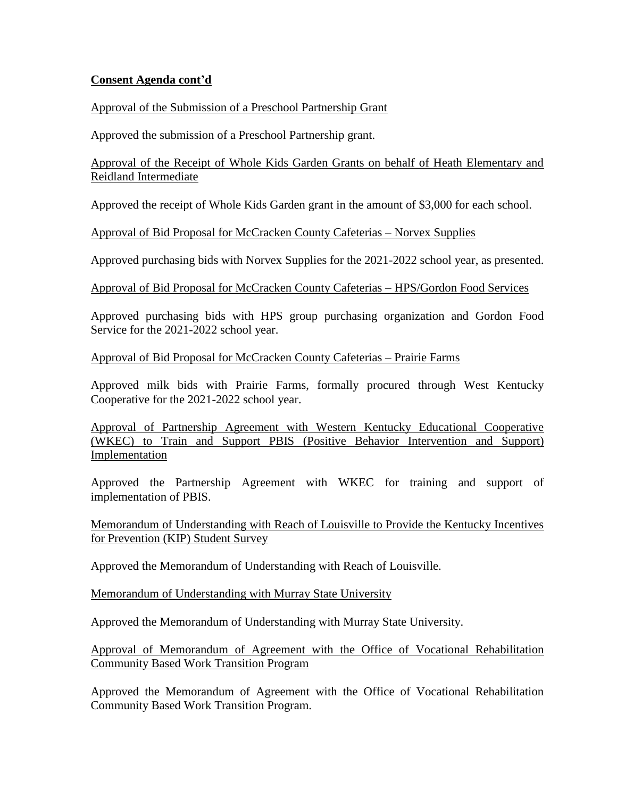## **Consent Agenda cont'd**

## Approval of the Submission of a Preschool Partnership Grant

Approved the submission of a Preschool Partnership grant.

Approval of the Receipt of Whole Kids Garden Grants on behalf of Heath Elementary and Reidland Intermediate

Approved the receipt of Whole Kids Garden grant in the amount of \$3,000 for each school.

Approval of Bid Proposal for McCracken County Cafeterias – Norvex Supplies

Approved purchasing bids with Norvex Supplies for the 2021-2022 school year, as presented.

Approval of Bid Proposal for McCracken County Cafeterias – HPS/Gordon Food Services

Approved purchasing bids with HPS group purchasing organization and Gordon Food Service for the 2021-2022 school year.

## Approval of Bid Proposal for McCracken County Cafeterias – Prairie Farms

Approved milk bids with Prairie Farms, formally procured through West Kentucky Cooperative for the 2021-2022 school year.

Approval of Partnership Agreement with Western Kentucky Educational Cooperative (WKEC) to Train and Support PBIS (Positive Behavior Intervention and Support) Implementation

Approved the Partnership Agreement with WKEC for training and support of implementation of PBIS.

Memorandum of Understanding with Reach of Louisville to Provide the Kentucky Incentives for Prevention (KIP) Student Survey

Approved the Memorandum of Understanding with Reach of Louisville.

Memorandum of Understanding with Murray State University

Approved the Memorandum of Understanding with Murray State University.

Approval of Memorandum of Agreement with the Office of Vocational Rehabilitation Community Based Work Transition Program

Approved the Memorandum of Agreement with the Office of Vocational Rehabilitation Community Based Work Transition Program.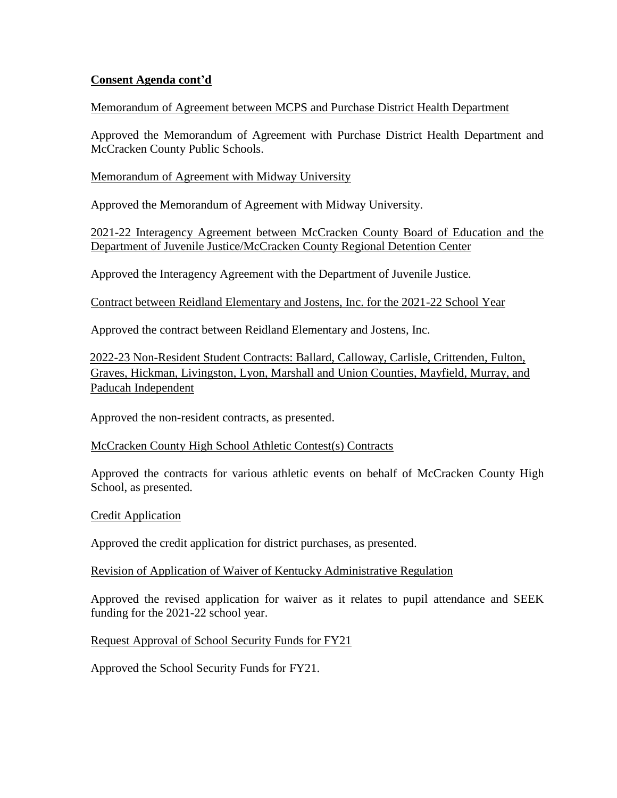## **Consent Agenda cont'd**

### Memorandum of Agreement between MCPS and Purchase District Health Department

Approved the Memorandum of Agreement with Purchase District Health Department and McCracken County Public Schools.

Memorandum of Agreement with Midway University

Approved the Memorandum of Agreement with Midway University.

2021-22 Interagency Agreement between McCracken County Board of Education and the Department of Juvenile Justice/McCracken County Regional Detention Center

Approved the Interagency Agreement with the Department of Juvenile Justice.

Contract between Reidland Elementary and Jostens, Inc. for the 2021-22 School Year

Approved the contract between Reidland Elementary and Jostens, Inc.

2022-23 Non-Resident Student Contracts: Ballard, Calloway, Carlisle, Crittenden, Fulton, Graves, Hickman, Livingston, Lyon, Marshall and Union Counties, Mayfield, Murray, and Paducah Independent

Approved the non-resident contracts, as presented.

### McCracken County High School Athletic Contest(s) Contracts

Approved the contracts for various athletic events on behalf of McCracken County High School, as presented.

Credit Application

Approved the credit application for district purchases, as presented.

### Revision of Application of Waiver of Kentucky Administrative Regulation

Approved the revised application for waiver as it relates to pupil attendance and SEEK funding for the 2021-22 school year.

# Request Approval of School Security Funds for FY21

Approved the School Security Funds for FY21.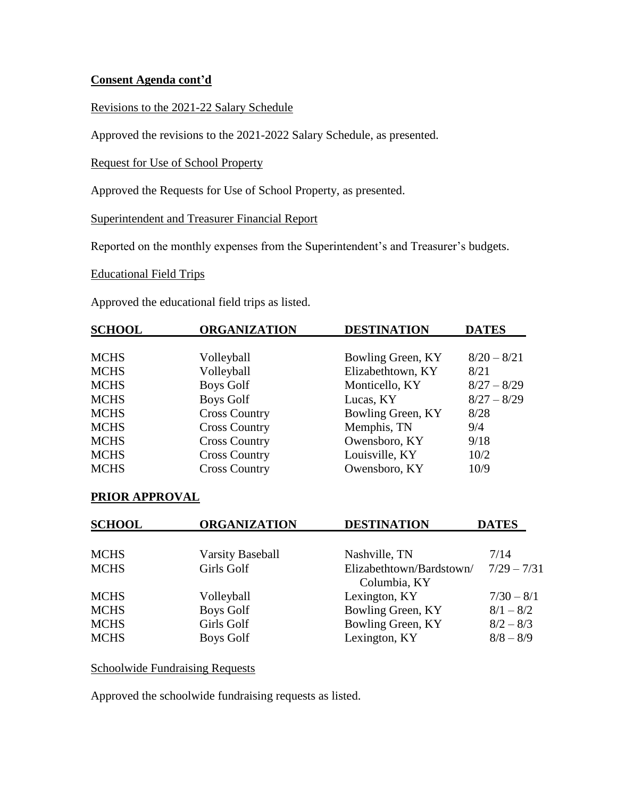## **Consent Agenda cont'd**

Revisions to the 2021-22 Salary Schedule

Approved the revisions to the 2021-2022 Salary Schedule, as presented.

Request for Use of School Property

Approved the Requests for Use of School Property, as presented.

Superintendent and Treasurer Financial Report

Reported on the monthly expenses from the Superintendent's and Treasurer's budgets.

Educational Field Trips

Approved the educational field trips as listed.

| <b>SCHOOL</b> | <b>ORGANIZATION</b>  | <b>DESTINATION</b> | <b>DATES</b>  |
|---------------|----------------------|--------------------|---------------|
|               |                      |                    |               |
| <b>MCHS</b>   | Volleyball           | Bowling Green, KY  | $8/20 - 8/21$ |
| <b>MCHS</b>   | Volleyball           | Elizabethtown, KY  | 8/21          |
| <b>MCHS</b>   | <b>Boys Golf</b>     | Monticello, KY     | $8/27 - 8/29$ |
| <b>MCHS</b>   | <b>Boys Golf</b>     | Lucas, KY          | $8/27 - 8/29$ |
| <b>MCHS</b>   | <b>Cross Country</b> | Bowling Green, KY  | 8/28          |
| <b>MCHS</b>   | <b>Cross Country</b> | Memphis, TN        | 9/4           |
| <b>MCHS</b>   | <b>Cross Country</b> | Owensboro, KY      | 9/18          |
| <b>MCHS</b>   | <b>Cross Country</b> | Louisville, KY     | 10/2          |
| <b>MCHS</b>   | <b>Cross Country</b> | Owensboro, KY      | 10/9          |

### **PRIOR APPROVAL**

| <b>SCHOOL</b> | <b>ORGANIZATION</b>     | <b>DESTINATION</b>       | <b>DATES</b>  |  |  |
|---------------|-------------------------|--------------------------|---------------|--|--|
|               |                         |                          |               |  |  |
| <b>MCHS</b>   | <b>Varsity Baseball</b> | Nashville, TN            | 7/14          |  |  |
| <b>MCHS</b>   | Girls Golf              | Elizabethtown/Bardstown/ | $7/29 - 7/31$ |  |  |
|               | Columbia, KY            |                          |               |  |  |
| <b>MCHS</b>   | Volleyball              | Lexington, KY            | $7/30 - 8/1$  |  |  |
| <b>MCHS</b>   | <b>Boys Golf</b>        | Bowling Green, KY        | $8/1 - 8/2$   |  |  |
| <b>MCHS</b>   | Girls Golf              | Bowling Green, KY        | $8/2 - 8/3$   |  |  |
| <b>MCHS</b>   | Boys Golf               | Lexington, KY            | $8/8 - 8/9$   |  |  |

Schoolwide Fundraising Requests

Approved the schoolwide fundraising requests as listed.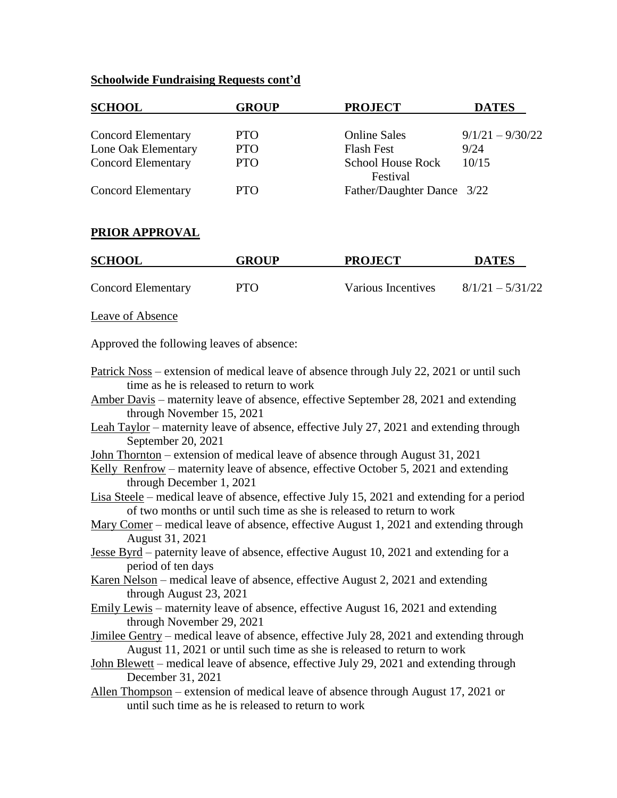### **Schoolwide Fundraising Requests cont'd**

| <b>SCHOOL</b>                             | <b>GROUP</b> | <b>PROJECT</b>                | <b>DATES</b>       |
|-------------------------------------------|--------------|-------------------------------|--------------------|
| <b>Concord Elementary</b>                 | <b>PTO</b>   | <b>Online Sales</b>           | $9/1/21 - 9/30/22$ |
| Lone Oak Elementary                       | <b>PTO</b>   | <b>Flash Fest</b>             | 9/24               |
| <b>Concord Elementary</b>                 | <b>PTO</b>   | School House Rock<br>Festival | 10/15              |
| <b>Concord Elementary</b>                 | <b>PTO</b>   | Father/Daughter Dance 3/22    |                    |
| PRIOR APPROVAL                            |              |                               |                    |
| <b>SCHOOL</b>                             | <b>GROUP</b> | <b>PROJECT</b>                | <b>DATES</b>       |
| <b>Concord Elementary</b>                 | <b>PTO</b>   | Various Incentives            | $8/1/21 - 5/31/22$ |
| Leave of Absence                          |              |                               |                    |
| Approved the following leaves of absence: |              |                               |                    |

- Patrick Noss extension of medical leave of absence through July 22, 2021 or until such time as he is released to return to work
- Amber Davis maternity leave of absence, effective September 28, 2021 and extending through November 15, 2021
- Leah Taylor maternity leave of absence, effective July 27, 2021 and extending through September 20, 2021
- John Thornton extension of medical leave of absence through August 31, 2021
- Kelly Renfrow maternity leave of absence, effective October 5, 2021 and extending through December 1, 2021
- Lisa Steele medical leave of absence, effective July 15, 2021 and extending for a period of two months or until such time as she is released to return to work
- Mary Comer medical leave of absence, effective August 1, 2021 and extending through August 31, 2021
- Jesse Byrd paternity leave of absence, effective August 10, 2021 and extending for a period of ten days
- Karen Nelson medical leave of absence, effective August 2, 2021 and extending through August 23, 2021
- Emily Lewis maternity leave of absence, effective August 16, 2021 and extending through November 29, 2021
- Jimilee Gentry medical leave of absence, effective July 28, 2021 and extending through August 11, 2021 or until such time as she is released to return to work
- John Blewett medical leave of absence, effective July 29, 2021 and extending through December 31, 2021
- Allen Thompson extension of medical leave of absence through August 17, 2021 or until such time as he is released to return to work